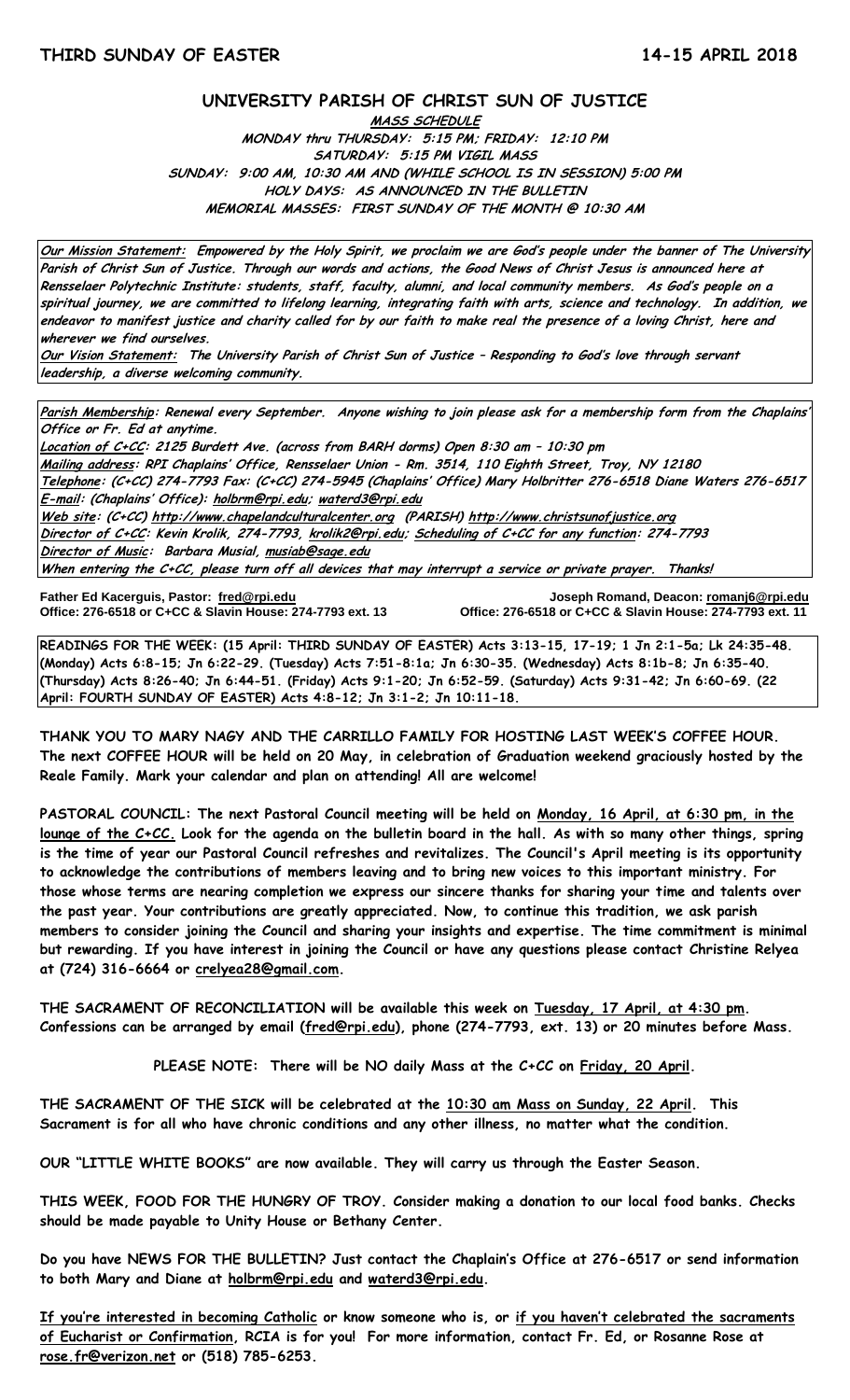## **UNIVERSITY PARISH OF CHRIST SUN OF JUSTICE**

**MASS SCHEDULE MONDAY thru THURSDAY: 5:15 PM; FRIDAY: 12:10 PM SATURDAY: 5:15 PM VIGIL MASS SUNDAY: 9:00 AM, 10:30 AM AND (WHILE SCHOOL IS IN SESSION) 5:00 PM HOLY DAYS: AS ANNOUNCED IN THE BULLETIN MEMORIAL MASSES: FIRST SUNDAY OF THE MONTH @ 10:30 AM**

**Our Mission Statement: Empowered by the Holy Spirit, we proclaim we are God's people under the banner of The University Parish of Christ Sun of Justice. Through our words and actions, the Good News of Christ Jesus is announced here at Rensselaer Polytechnic Institute: students, staff, faculty, alumni, and local community members. As God's people on a spiritual journey, we are committed to lifelong learning, integrating faith with arts, science and technology. In addition, we endeavor to manifest justice and charity called for by our faith to make real the presence of a loving Christ, here and wherever we find ourselves.**

**Our Vision Statement: The University Parish of Christ Sun of Justice – Responding to God's love through servant leadership, a diverse welcoming community.**

**Parish Membership: Renewal every September. Anyone wishing to join please ask for a membership form from the Chaplains' Office or Fr. Ed at anytime.**

**Location of C+CC: 2125 Burdett Ave. (across from BARH dorms) Open 8:30 am – 10:30 pm Mailing address: RPI Chaplains' Office, Rensselaer Union - Rm. 3514, 110 Eighth Street, Troy, NY 12180 Telephone: (C+CC) 274-7793 Fax: (C+CC) 274-5945 (Chaplains' Office) Mary Holbritter 276-6518 Diane Waters 276-6517 E-mail: (Chaplains' Office): [holbrm@rpi.edu;](mailto:holbrm@rpi.edu) waterd3@rpi.edu Web site: (C+CC[\) http://www.chapelandculturalcenter.org](http://www.chapelandculturalcenter.org/) (PARISH) http://www.christsunofjustice.org Director of C+CC: Kevin Krolik, 274-7793, krolik2@rpi.edu; Scheduling of C+CC for any function: 274-7793 Director of Music: Barbara Musial, [musiab@sage.edu](mailto:musiab@sage.edu) When entering the C+CC, please turn off all devices that may interrupt a service or private prayer. Thanks!** 

**Office: 276-6518 or C+CC & Slavin House: 274-7793 ext. 13** 

**Father Ed Kacerguis, Pastor: [fred@rpi.edu](mailto:fred@rpi.edu) Joseph Romand, Deacon[: romanj6@rpi.edu](mailto:romanj6@rpi.edu)**

**READINGS FOR THE WEEK: (15 April: THIRD SUNDAY OF EASTER) Acts 3:13-15, 17-19; 1 Jn 2:1-5a; Lk 24:35-48. (Monday) Acts 6:8-15; Jn 6:22-29. (Tuesday) Acts 7:51-8:1a; Jn 6:30-35. (Wednesday) Acts 8:1b-8; Jn 6:35-40. (Thursday) Acts 8:26-40; Jn 6:44-51. (Friday) Acts 9:1-20; Jn 6:52-59. (Saturday) Acts 9:31-42; Jn 6:60-69. (22 April: FOURTH SUNDAY OF EASTER) Acts 4:8-12; Jn 3:1-2; Jn 10:11-18.**

**THANK YOU TO MARY NAGY AND THE CARRILLO FAMILY FOR HOSTING LAST WEEK'S COFFEE HOUR. The next COFFEE HOUR will be held on 20 May, in celebration of Graduation weekend graciously hosted by the Reale Family. Mark your calendar and plan on attending! All are welcome!**

**PASTORAL COUNCIL: The next Pastoral Council meeting will be held on Monday, 16 April, at 6:30 pm, in the lounge of the C+CC. Look for the agenda on the bulletin board in the hall. As with so many other things, spring is the time of year our Pastoral Council refreshes and revitalizes. The Council's April meeting is its opportunity to acknowledge the contributions of members leaving and to bring new voices to this important ministry. For those whose terms are nearing completion we express our sincere thanks for sharing your time and talents over the past year. Your contributions are greatly appreciated. Now, to continue this tradition, we ask parish members to consider joining the Council and sharing your insights and expertise. The time commitment is minimal but rewarding. If you have interest in joining the Council or have any questions please contact Christine Relyea at (724) 316-6664 or [crelyea28@gmail.com.](mailto:crelyea28@gmail.com)**

**THE SACRAMENT OF RECONCILIATION will be available this week on Tuesday, 17 April, at 4:30 pm. Confessions can be arranged by email [\(fred@rpi.edu\)](mailto:fred@rpi.edu), phone (274-7793, ext. 13) or 20 minutes before Mass.**

**PLEASE NOTE: There will be NO daily Mass at the C+CC on Friday, 20 April.**

**THE SACRAMENT OF THE SICK will be celebrated at the 10:30 am Mass on Sunday, 22 April. This Sacrament is for all who have chronic conditions and any other illness, no matter what the condition.**

**OUR "LITTLE WHITE BOOKS" are now available. They will carry us through the Easter Season.**

**THIS WEEK, FOOD FOR THE HUNGRY OF TROY. Consider making a donation to our local food banks. Checks should be made payable to Unity House or Bethany Center.** 

**Do you have NEWS FOR THE BULLETIN? Just contact the Chaplain's Office at 276-6517 or send information to both Mary and Diane at holbrm@rpi.edu and waterd3@rpi.edu.**

**If you're interested in becoming Catholic or know someone who is, or if you haven't celebrated the sacraments of Eucharist or Confirmation, RCIA is for you! For more information, contact Fr. Ed, or Rosanne Rose at [rose.fr@verizon.net](mailto:rose.fr@verizon.net) or (518) 785-6253.**